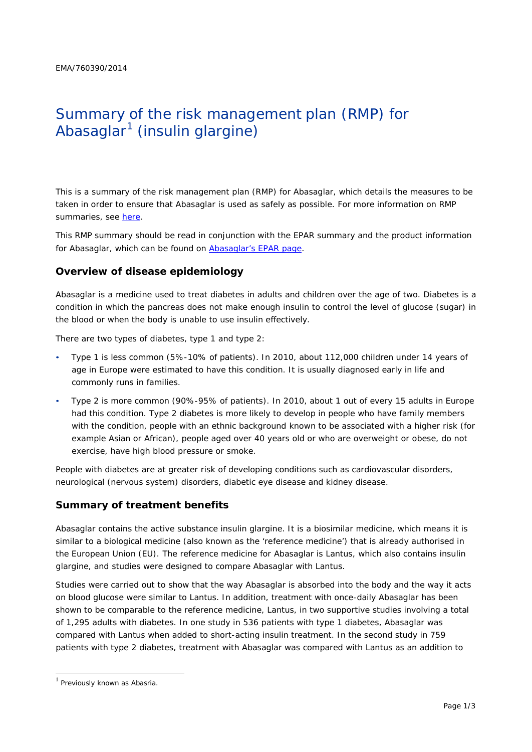# Summary of the risk management plan (RMP) for Abasaglar<sup>1</sup> (insulin glargine)

This is a summary of the risk management plan (RMP) for Abasaglar, which details the measures to be taken in order to ensure that Abasaglar is used as safely as possible. For more information on RMP summaries, see [here.](http://www.ema.europa.eu/docs/en_GB/document_library/Other/2014/05/WC500166101.pdf)

This RMP summary should be read in conjunction with the EPAR summary and the product information for Abasaglar, which can be found on Abasaglar's EPAR page.

## **Overview of disease epidemiology**

Abasaglar is a medicine used to treat diabetes in adults and children over the age of two. Diabetes is a condition in which the pancreas does not make enough insulin to control the level of glucose (sugar) in the blood or when the body is unable to use insulin effectively.

There are two types of diabetes, type 1 and type 2:

- Type 1 is less common (5%-10% of patients). In 2010, about 112,000 children under 14 years of age in Europe were estimated to have this condition. It is usually diagnosed early in life and commonly runs in families.
- Type 2 is more common (90%-95% of patients). In 2010, about 1 out of every 15 adults in Europe had this condition. Type 2 diabetes is more likely to develop in people who have family members with the condition, people with an ethnic background known to be associated with a higher risk (for example Asian or African), people aged over 40 years old or who are overweight or obese, do not exercise, have high blood pressure or smoke.

People with diabetes are at greater risk of developing conditions such as cardiovascular disorders, neurological (nervous system) disorders, diabetic eye disease and kidney disease.

### **Summary of treatment benefits**

Abasaglar contains the active substance insulin glargine. It is a biosimilar medicine, which means it is similar to a biological medicine (also known as the 'reference medicine') that is already authorised in the European Union (EU). The reference medicine for Abasaglar is Lantus, which also contains insulin glargine, and studies were designed to compare Abasaglar with Lantus.

Studies were carried out to show that the way Abasaglar is absorbed into the body and the way it acts on blood glucose were similar to Lantus. In addition, treatment with once-daily Abasaglar has been shown to be comparable to the reference medicine, Lantus, in two supportive studies involving a total of 1,295 adults with diabetes. In one study in 536 patients with type 1 diabetes, Abasaglar was compared with Lantus when added to short-acting insulin treatment. In the second study in 759 patients with type 2 diabetes, treatment with Abasaglar was compared with Lantus as an addition to

 $1$  Previously known as Abasria.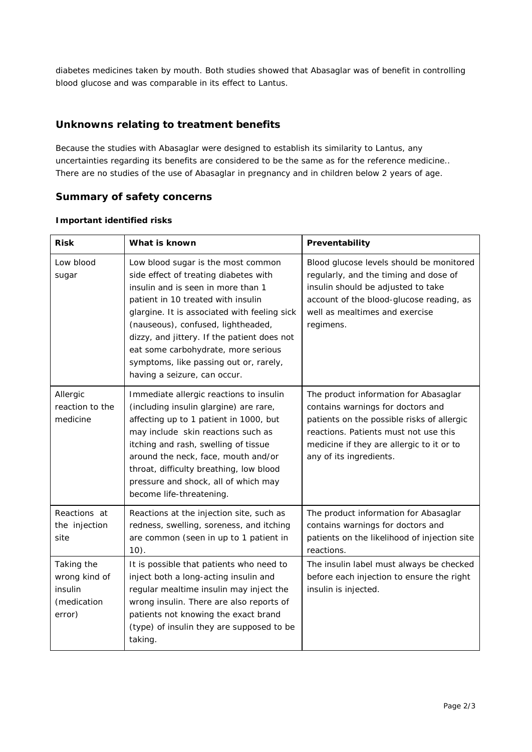diabetes medicines taken by mouth. Both studies showed that Abasaglar was of benefit in controlling blood glucose and was comparable in its effect to Lantus.

## **Unknowns relating to treatment benefits**

Because the studies with Abasaglar were designed to establish its similarity to Lantus, any uncertainties regarding its benefits are considered to be the same as for the reference medicine.. There are no studies of the use of Abasaglar in pregnancy and in children below 2 years of age.

## **Summary of safety concerns**

| <b>Risk</b>                                                     | What is known                                                                                                                                                                                                                                                                                                                                                                                                 | Preventability                                                                                                                                                                                                                            |
|-----------------------------------------------------------------|---------------------------------------------------------------------------------------------------------------------------------------------------------------------------------------------------------------------------------------------------------------------------------------------------------------------------------------------------------------------------------------------------------------|-------------------------------------------------------------------------------------------------------------------------------------------------------------------------------------------------------------------------------------------|
| Low blood<br>sugar                                              | Low blood sugar is the most common<br>side effect of treating diabetes with<br>insulin and is seen in more than 1<br>patient in 10 treated with insulin<br>glargine. It is associated with feeling sick<br>(nauseous), confused, lightheaded,<br>dizzy, and jittery. If the patient does not<br>eat some carbohydrate, more serious<br>symptoms, like passing out or, rarely,<br>having a seizure, can occur. | Blood glucose levels should be monitored<br>regularly, and the timing and dose of<br>insulin should be adjusted to take<br>account of the blood-glucose reading, as<br>well as mealtimes and exercise<br>regimens.                        |
| Allergic<br>reaction to the<br>medicine                         | Immediate allergic reactions to insulin<br>(including insulin glargine) are rare,<br>affecting up to 1 patient in 1000, but<br>may include skin reactions such as<br>itching and rash, swelling of tissue<br>around the neck, face, mouth and/or<br>throat, difficulty breathing, low blood<br>pressure and shock, all of which may<br>become life-threatening.                                               | The product information for Abasaglar<br>contains warnings for doctors and<br>patients on the possible risks of allergic<br>reactions. Patients must not use this<br>medicine if they are allergic to it or to<br>any of its ingredients. |
| Reactions at<br>the injection<br>site                           | Reactions at the injection site, such as<br>redness, swelling, soreness, and itching<br>are common (seen in up to 1 patient in<br>$10$ ).                                                                                                                                                                                                                                                                     | The product information for Abasaglar<br>contains warnings for doctors and<br>patients on the likelihood of injection site<br>reactions.                                                                                                  |
| Taking the<br>wrong kind of<br>insulin<br>(medication<br>error) | It is possible that patients who need to<br>inject both a long-acting insulin and<br>regular mealtime insulin may inject the<br>wrong insulin. There are also reports of<br>patients not knowing the exact brand<br>(type) of insulin they are supposed to be<br>taking.                                                                                                                                      | The insulin label must always be checked<br>before each injection to ensure the right<br>insulin is injected.                                                                                                                             |

### *Important identified risks*